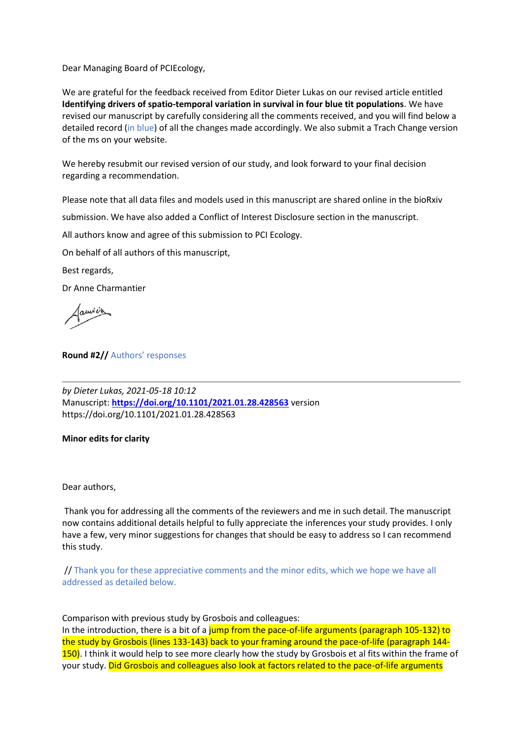Dear Managing Board of PCIEcology,

We are grateful for the feedback received from Editor Dieter Lukas on our revised article entitled **Identifying drivers of spatio-temporal variation in survival in four blue tit populations**. We have revised our manuscript by carefully considering all the comments received, and you will find below a detailed record (in blue) of all the changes made accordingly. We also submit a Trach Change version of the ms on your website.

We hereby resubmit our revised version of our study, and look forward to your final decision regarding a recommendation.

Please note that all data files and models used in this manuscript are shared online in the bioRxiv

submission. We have also added a Conflict of Interest Disclosure section in the manuscript.

All authors know and agree of this submission to PCI Ecology.

On behalf of all authors of this manuscript,

Best regards,

Dr Anne Charmantier

aurice

**Round #2//** Authors' responses

*by Dieter Lukas, 2021-05-18 10:12* Manuscript: **<https://doi.org/10.1101/2021.01.28.428563>** version https://doi.org/10.1101/2021.01.28.428563

## **Minor edits for clarity**

Dear authors,

Thank you for addressing all the comments of the reviewers and me in such detail. The manuscript now contains additional details helpful to fully appreciate the inferences your study provides. I only have a few, very minor suggestions for changes that should be easy to address so I can recommend this study.

// Thank you for these appreciative comments and the minor edits, which we hope we have all addressed as detailed below.

Comparison with previous study by Grosbois and colleagues:

In the introduction, there is a bit of a jump from the pace-of-life arguments (paragraph 105-132) to the study by Grosbois (lines 133-143) back to your framing around the pace-of-life (paragraph 144- 150). I think it would help to see more clearly how the study by Grosbois et al fits within the frame of your study. Did Grosbois and colleagues also look at factors related to the pace-of-life arguments